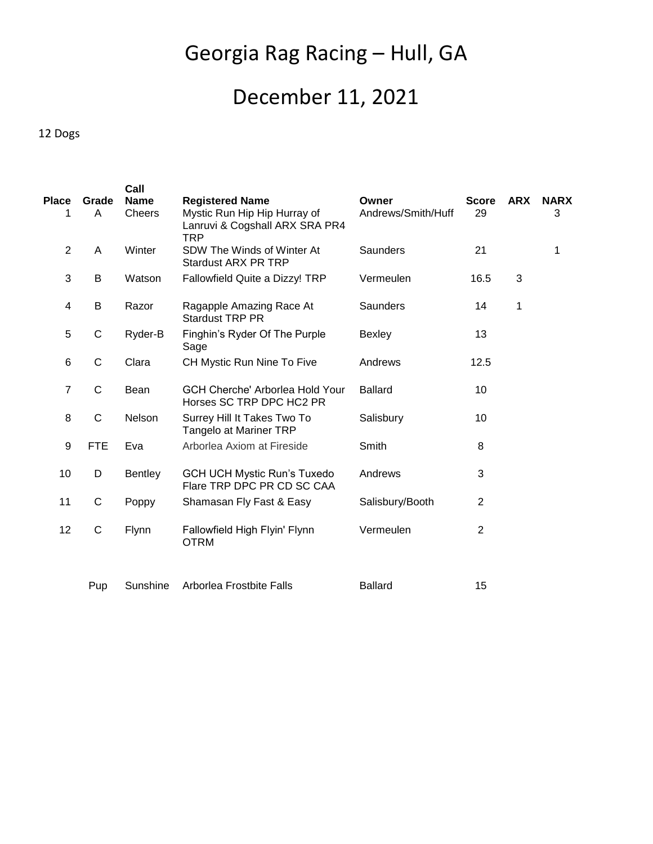# Georgia Rag Racing – Hull, GA

# December 11, 2021

#### 12 Dogs

|                         |              | Call          |                                                                       |                    |                |            |             |
|-------------------------|--------------|---------------|-----------------------------------------------------------------------|--------------------|----------------|------------|-------------|
| <b>Place</b>            | Grade        | <b>Name</b>   | <b>Registered Name</b>                                                | Owner              | <b>Score</b>   | <b>ARX</b> | <b>NARX</b> |
| 1                       | A            | <b>Cheers</b> | Mystic Run Hip Hip Hurray of<br>Lanruvi & Cogshall ARX SRA PR4<br>TRP | Andrews/Smith/Huff | 29             |            | 3           |
| $\overline{2}$          | A            | Winter        | SDW The Winds of Winter At<br><b>Stardust ARX PR TRP</b>              | Saunders           | 21             |            | 1           |
| $\sqrt{3}$              | B            | Watson        | Fallowfield Quite a Dizzy! TRP                                        | Vermeulen          | 16.5           | 3          |             |
| $\overline{\mathbf{4}}$ | B            | Razor         | Ragapple Amazing Race At<br><b>Stardust TRP PR</b>                    | <b>Saunders</b>    | 14             | 1          |             |
| 5                       | $\mathsf C$  | Ryder-B       | Finghin's Ryder Of The Purple<br>Sage                                 | <b>Bexley</b>      | 13             |            |             |
| $6\phantom{1}6$         | $\mathsf C$  | Clara         | CH Mystic Run Nine To Five                                            | Andrews            | 12.5           |            |             |
| $\overline{7}$          | C            | Bean          | <b>GCH Cherche' Arborlea Hold Your</b><br>Horses SC TRP DPC HC2 PR    | <b>Ballard</b>     | 10             |            |             |
| 8                       | $\mathsf{C}$ | Nelson        | Surrey Hill It Takes Two To<br><b>Tangelo at Mariner TRP</b>          | Salisbury          | 10             |            |             |
| 9                       | <b>FTE</b>   | Eva           | Arborlea Axiom at Fireside                                            | Smith              | 8              |            |             |
| 10                      | D            | Bentley       | <b>GCH UCH Mystic Run's Tuxedo</b><br>Flare TRP DPC PR CD SC CAA      | Andrews            | 3              |            |             |
| 11                      | $\mathsf C$  | Poppy         | Shamasan Fly Fast & Easy                                              | Salisbury/Booth    | 2              |            |             |
| 12                      | $\mathsf C$  | Flynn         | Fallowfield High Flyin' Flynn<br><b>OTRM</b>                          | Vermeulen          | $\overline{2}$ |            |             |
|                         | Pup          | Sunshine      | Arborlea Frostbite Falls                                              | <b>Ballard</b>     | 15             |            |             |